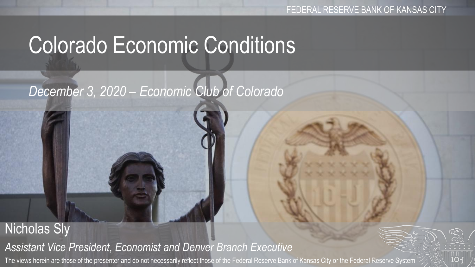# Colorado Economic Conditions

## *December 3, 2020 – Economic Club of Colorado*

#### Nicholas Sly *Assistant Vice President, Economist and Denver Branch Executive* The views herein are those of the presenter and do not necessarily reflect those of the Federal Reserve Bank of Kansas City or the Federal Reserve System

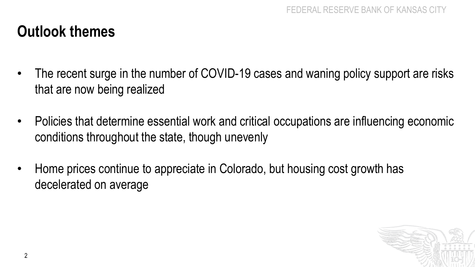#### **Outlook themes**

- The recent surge in the number of COVID-19 cases and waning policy support are risks that are now being realized
- Policies that determine essential work and critical occupations are influencing economic conditions throughout the state, though unevenly
- Home prices continue to appreciate in Colorado, but housing cost growth has decelerated on average

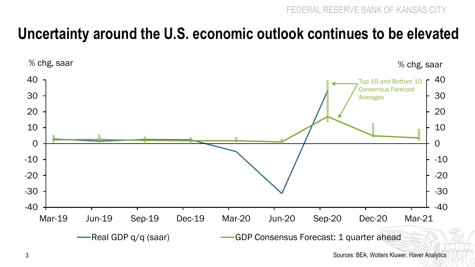#### **Uncertainty around the U.S. economic outlook continues to be elevated**



3 Sources: BEA, Wolters Kluwer, Haver Analytics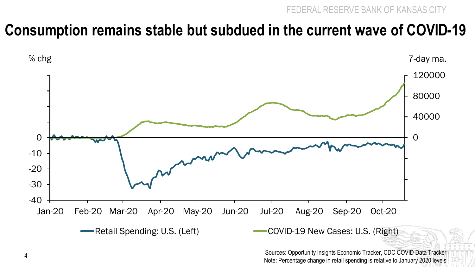#### **Consumption remains stable but subdued in the current wave of COVID-19**



Sources: Opportunity Insights Economic Tracker, CDC COVID Data Tracker Note: Percentage change in retail spending is relative to January 2020 levels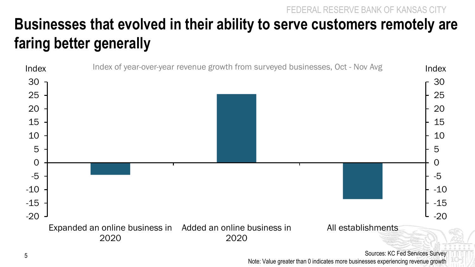**Businesses that evolved in their ability to serve customers remotely are faring better generally** 



Sources: KC Fed Services Survey Note: Value greater than 0 indicates more businesses experiencing revenue growth

FEDERAL RESERVE BANK OF KANSAS CITY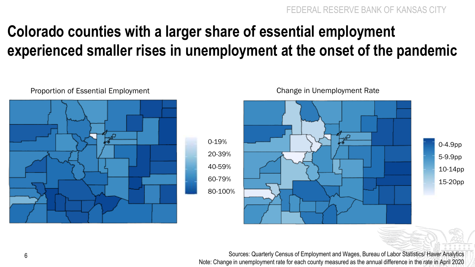### **Colorado counties with a larger share of essential employment experienced smaller rises in unemployment at the onset of the pandemic**



0-19% 20-39% 40-59% 60-79% 80-100%

Proportion of Essential Employment Change in Unemployment Rate



6 Sources: Quarterly Census of Employment and Wages, Bureau of Labor Statistics/ Haver Analytics Note: Change in unemployment rate for each county measured as the annual difference in the rate in April 2020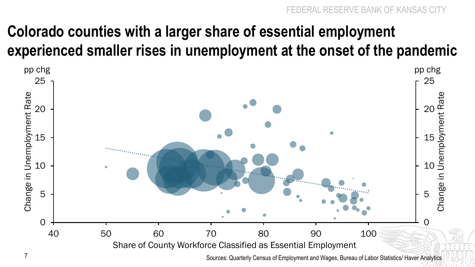### **Colorado counties with a larger share of essential employment experienced smaller rises in unemployment at the onset of the pandemic**



Sources: Quarterly Census of Employment and Wages, Bureau of Labor Statistics/ Haver Analytics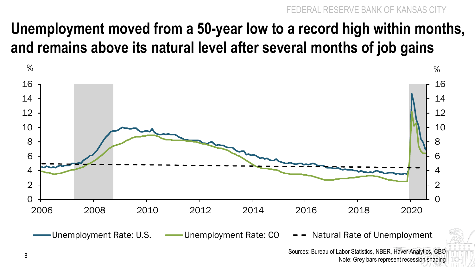### **Unemployment moved from a 50-year low to a record high within months, and remains above its natural level after several months of job gains**



Unemployment Rate: U.S.  $\longrightarrow$  Unemployment Rate: CO  $\rightarrow$  -  $\rightarrow$  Natural Rate of Unemployment

Sources: Bureau of Labor Statistics, NBER, Haver Analytics, CBO 8<br>Note: Grey bars represent recession shading Reference to the Street bars represent recession shading 8.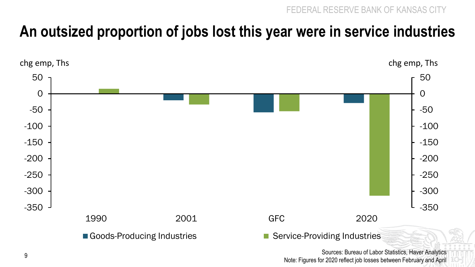#### **An outsized proportion of jobs lost this year were in service industries**



Sources: Bureau of Labor Statistics, Haver Analytics Note: Figures for 2020 reflect job losses between February and April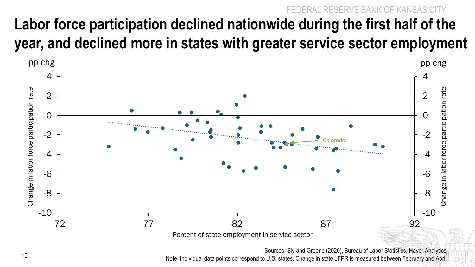#### AL RESERVE BANK OF KANSAS CITY **Labor force participation declined nationwide during the first half of the year, and declined more in states with greater service sector employment**



Sources: Sly and Greene (2020), Bureau of Labor Statistics, Haver Analytics Note: Individual data points correspond to U.S. states. Change in state LFPR is measured between February and April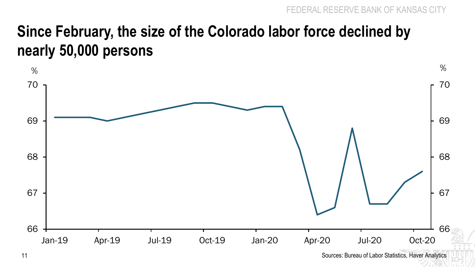#### **Since February, the size of the Colorado labor force declined by nearly 50,000 persons**



<sup>11</sup> Sources: Bureau of Labor Statistics, Haver Analytics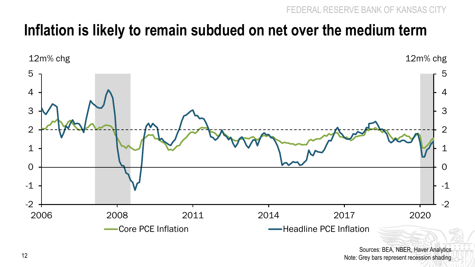#### **Inflation is likely to remain subdued on net over the medium term**



Sources: BEA, NBER, Haver Analytics Note: Grey bars represent recession shading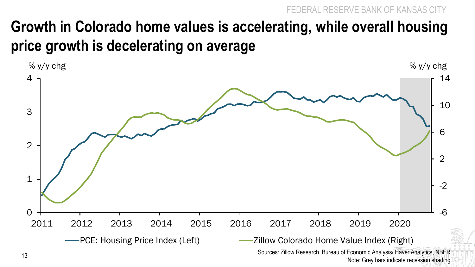FEDERAL RESERVE BANK OF KANSAS

#### **Growth in Colorado home values is accelerating, while overall housing price growth is decelerating on average**

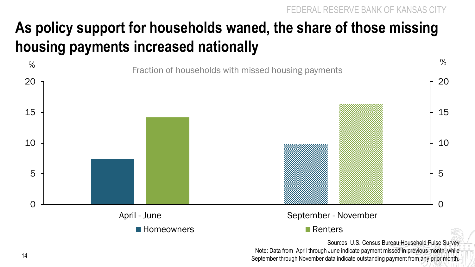# **As policy support for households waned, the share of those missing housing payments increased nationally**



Sources: U.S. Census Bureau Household Pulse Survey Note: Data from April through June indicate payment missed in previous month, while September through November data indicate outstanding payment from any prior month.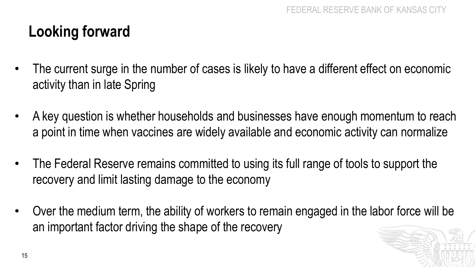#### **Looking forward**

- The current surge in the number of cases is likely to have a different effect on economic activity than in late Spring
- A key question is whether households and businesses have enough momentum to reach a point in time when vaccines are widely available and economic activity can normalize
- The Federal Reserve remains committed to using its full range of tools to support the recovery and limit lasting damage to the economy
- Over the medium term, the ability of workers to remain engaged in the labor force will be an important factor driving the shape of the recovery